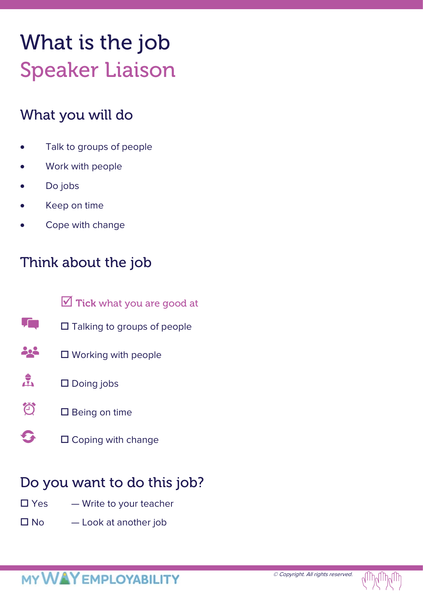# What is the job Speaker Liaison

### What you will do

- Talk to groups of people
- Work with people
- Do jobs
- Keep on time
- Cope with change

### Think about the job

- $\triangledown$  Tick what you are good at
- T. □ Talking to groups of people
- 222 □ Working with people
- $\frac{1}{\sqrt{2}}$ □ Doing jobs
- **句**  $\square$  Being on time
- G  $\square$  Coping with change

### Do you want to do this job?

- $\square$  Yes  $\rightharpoonup$  Write to your teacher
- $\square$  No  $\square$  Look at another job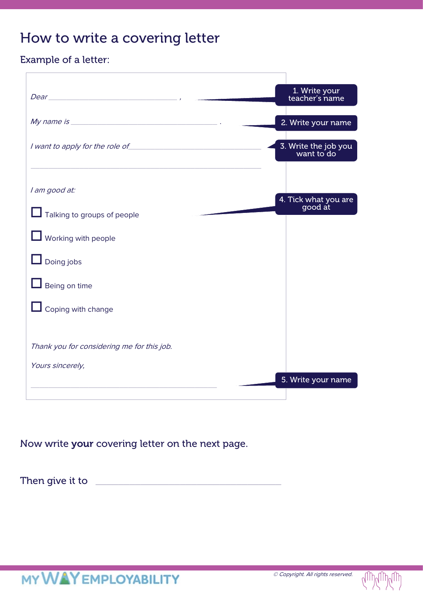### How to write a covering letter

#### Example of a letter:

| $Dear$ <sub>2</sub> , $\qquad \qquad$ , $\qquad \qquad$ , $\qquad \qquad$ , $\qquad \qquad$ , $\qquad \qquad$ , $\qquad \qquad$ , $\qquad \qquad$ , $\qquad \qquad$ , $\qquad \qquad$ , $\qquad \qquad$ , $\qquad \qquad$ , $\qquad \qquad$ , $\qquad \qquad$ , $\qquad \qquad$ , $\qquad \qquad$ , $\qquad \qquad$ , $\qquad \qquad$ , $\qquad \qquad$ , $\qquad \qquad$ , $\qquad \qquad$ , $\qquad \qquad$ , $\$ | 1. Write your<br>teacher's name    |
|---------------------------------------------------------------------------------------------------------------------------------------------------------------------------------------------------------------------------------------------------------------------------------------------------------------------------------------------------------------------------------------------------------------------|------------------------------------|
|                                                                                                                                                                                                                                                                                                                                                                                                                     | 2. Write your name                 |
| I want to apply for the role of                                                                                                                                                                                                                                                                                                                                                                                     | 3. Write the job you<br>want to do |
|                                                                                                                                                                                                                                                                                                                                                                                                                     |                                    |
| I am good at:                                                                                                                                                                                                                                                                                                                                                                                                       |                                    |
| Talking to groups of people                                                                                                                                                                                                                                                                                                                                                                                         | 4. Tick what you are<br>good at    |
| <b>L</b> Working with people                                                                                                                                                                                                                                                                                                                                                                                        |                                    |
| $\Box$ Doing jobs                                                                                                                                                                                                                                                                                                                                                                                                   |                                    |
| $\Box$ Being on time                                                                                                                                                                                                                                                                                                                                                                                                |                                    |
| $\Box$ Coping with change                                                                                                                                                                                                                                                                                                                                                                                           |                                    |
|                                                                                                                                                                                                                                                                                                                                                                                                                     |                                    |
| Thank you for considering me for this job.                                                                                                                                                                                                                                                                                                                                                                          |                                    |
| Yours sincerely,                                                                                                                                                                                                                                                                                                                                                                                                    |                                    |
|                                                                                                                                                                                                                                                                                                                                                                                                                     | 5. Write your name                 |
|                                                                                                                                                                                                                                                                                                                                                                                                                     |                                    |

Now write your covering letter on the next page.

Then give it to \_\_\_\_\_\_\_\_\_\_\_\_\_\_\_\_\_\_\_\_\_\_\_\_\_\_\_\_\_\_\_\_\_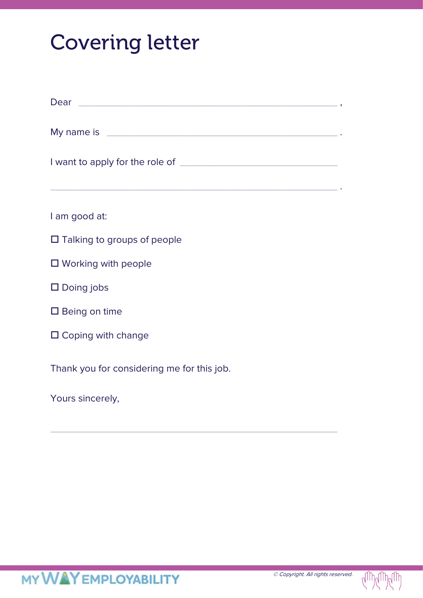## Covering letter

| Dear example and the set of the set of the set of the set of the set of the set of the set of the set of the set of the set of the set of the set of the set of the set of the set of the set of the set of the set of the set |
|--------------------------------------------------------------------------------------------------------------------------------------------------------------------------------------------------------------------------------|
| My name is <b>My name is</b> and the second service of the service of the service of the service of the service of the                                                                                                         |
| <u> 1989 - Jan Barnett, fransk politiker (d. 1989)</u>                                                                                                                                                                         |
| I am good at:                                                                                                                                                                                                                  |
| $\Box$ Talking to groups of people                                                                                                                                                                                             |
| $\Box$ Working with people                                                                                                                                                                                                     |
| $\square$ Doing jobs                                                                                                                                                                                                           |
| $\square$ Being on time                                                                                                                                                                                                        |
| $\Box$ Coping with change                                                                                                                                                                                                      |
| Thank you for considering me for this job.                                                                                                                                                                                     |
| Yours sincerely,                                                                                                                                                                                                               |

\_\_\_\_\_\_\_\_\_\_\_\_\_\_\_\_\_\_\_\_\_\_\_\_\_\_\_\_\_\_\_\_\_\_\_\_\_\_\_\_\_\_\_\_\_\_\_\_\_\_\_